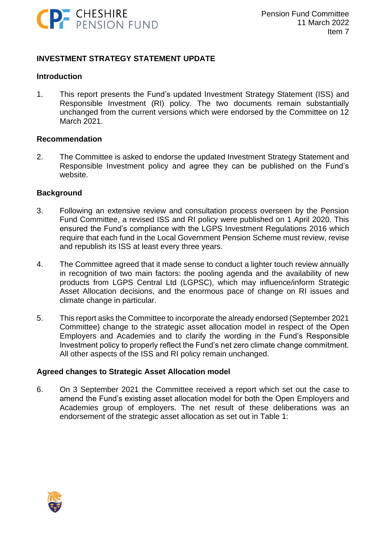

#### **INVESTMENT STRATEGY STATEMENT UPDATE**

#### **Introduction**

1. This report presents the Fund's updated Investment Strategy Statement (ISS) and Responsible Investment (RI) policy. The two documents remain substantially unchanged from the current versions which were endorsed by the Committee on 12 March 2021.

#### **Recommendation**

2. The Committee is asked to endorse the updated Investment Strategy Statement and Responsible Investment policy and agree they can be published on the Fund's website.

#### **Background**

- 3. Following an extensive review and consultation process overseen by the Pension Fund Committee, a revised ISS and RI policy were published on 1 April 2020. This ensured the Fund's compliance with the LGPS Investment Regulations 2016 which require that each fund in the Local Government Pension Scheme must review, revise and republish its ISS at least every three years.
- 4. The Committee agreed that it made sense to conduct a lighter touch review annually in recognition of two main factors: the pooling agenda and the availability of new products from LGPS Central Ltd (LGPSC), which may influence/inform Strategic Asset Allocation decisions, and the enormous pace of change on RI issues and climate change in particular.
- 5. This report asks the Committee to incorporate the already endorsed (September 2021 Committee) change to the strategic asset allocation model in respect of the Open Employers and Academies and to clarify the wording in the Fund's Responsible Investment policy to properly reflect the Fund's net zero climate change commitment. All other aspects of the ISS and RI policy remain unchanged.

#### **Agreed changes to Strategic Asset Allocation model**

6. On 3 September 2021 the Committee received a report which set out the case to amend the Fund's existing asset allocation model for both the Open Employers and Academies group of employers. The net result of these deliberations was an endorsement of the strategic asset allocation as set out in Table 1:

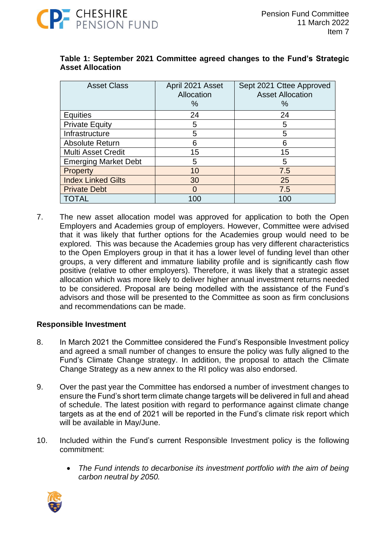

| <b>Asset Class</b>          | April 2021 Asset<br>Allocation<br>% | Sept 2021 Cttee Approved<br><b>Asset Allocation</b><br>℅ |
|-----------------------------|-------------------------------------|----------------------------------------------------------|
| <b>Equities</b>             | 24                                  | 24                                                       |
| <b>Private Equity</b>       | 5                                   | 5                                                        |
| Infrastructure              | 5                                   | 5                                                        |
| <b>Absolute Return</b>      | 6                                   | 6                                                        |
| <b>Multi Asset Credit</b>   | 15                                  | 15                                                       |
| <b>Emerging Market Debt</b> | 5                                   | 5                                                        |
| <b>Property</b>             | 10                                  | 7.5                                                      |
| <b>Index Linked Gilts</b>   | 30                                  | 25                                                       |
| <b>Private Debt</b>         | O                                   | 7.5                                                      |
| <b>TOTAL</b>                | 100                                 | 100                                                      |

#### **Table 1: September 2021 Committee agreed changes to the Fund's Strategic Asset Allocation**

7. The new asset allocation model was approved for application to both the Open Employers and Academies group of employers. However, Committee were advised that it was likely that further options for the Academies group would need to be explored. This was because the Academies group has very different characteristics to the Open Employers group in that it has a lower level of funding level than other groups, a very different and immature liability profile and is significantly cash flow positive (relative to other employers). Therefore, it was likely that a strategic asset allocation which was more likely to deliver higher annual investment returns needed to be considered. Proposal are being modelled with the assistance of the Fund's advisors and those will be presented to the Committee as soon as firm conclusions and recommendations can be made.

#### **Responsible Investment**

- 8. In March 2021 the Committee considered the Fund's Responsible Investment policy and agreed a small number of changes to ensure the policy was fully aligned to the Fund's Climate Change strategy. In addition, the proposal to attach the Climate Change Strategy as a new annex to the RI policy was also endorsed.
- 9. Over the past year the Committee has endorsed a number of investment changes to ensure the Fund's short term climate change targets will be delivered in full and ahead of schedule. The latest position with regard to performance against climate change targets as at the end of 2021 will be reported in the Fund's climate risk report which will be available in May/June.
- 10. Included within the Fund's current Responsible Investment policy is the following commitment:
	- *The Fund intends to decarbonise its investment portfolio with the aim of being carbon neutral by 2050.*

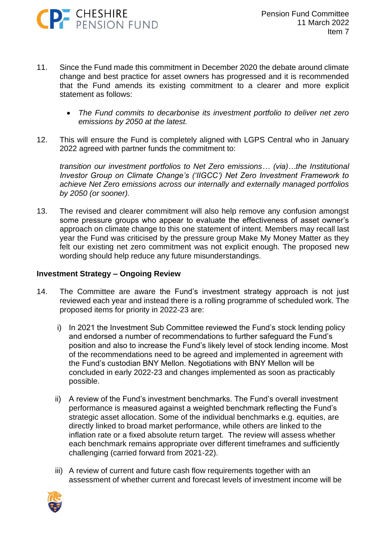

- 11. Since the Fund made this commitment in December 2020 the debate around climate change and best practice for asset owners has progressed and it is recommended that the Fund amends its existing commitment to a clearer and more explicit statement as follows:
	- *The Fund commits to decarbonise its investment portfolio to deliver net zero emissions by 2050 at the latest.*
- 12. This will ensure the Fund is completely aligned with LGPS Central who in January 2022 agreed with partner funds the commitment to:

*transition our investment portfolios to Net Zero emissions… (via)…the Institutional Investor Group on Climate Change's ('IIGCC') Net Zero Investment Framework to achieve Net Zero emissions across our internally and externally managed portfolios by 2050 (or sooner).* 

13. The revised and clearer commitment will also help remove any confusion amongst some pressure groups who appear to evaluate the effectiveness of asset owner's approach on climate change to this one statement of intent. Members may recall last year the Fund was criticised by the pressure group Make My Money Matter as they felt our existing net zero commitment was not explicit enough. The proposed new wording should help reduce any future misunderstandings.

#### **Investment Strategy – Ongoing Review**

- 14. The Committee are aware the Fund's investment strategy approach is not just reviewed each year and instead there is a rolling programme of scheduled work. The proposed items for priority in 2022-23 are:
	- i) In 2021 the Investment Sub Committee reviewed the Fund's stock lending policy and endorsed a number of recommendations to further safeguard the Fund's position and also to increase the Fund's likely level of stock lending income. Most of the recommendations need to be agreed and implemented in agreement with the Fund's custodian BNY Mellon. Negotiations with BNY Mellon will be concluded in early 2022-23 and changes implemented as soon as practicably possible.
	- ii) A review of the Fund's investment benchmarks. The Fund's overall investment performance is measured against a weighted benchmark reflecting the Fund's strategic asset allocation. Some of the individual benchmarks e.g. equities, are directly linked to broad market performance, while others are linked to the inflation rate or a fixed absolute return target. The review will assess whether each benchmark remains appropriate over different timeframes and sufficiently challenging (carried forward from 2021-22).
	- iii) A review of current and future cash flow requirements together with an assessment of whether current and forecast levels of investment income will be

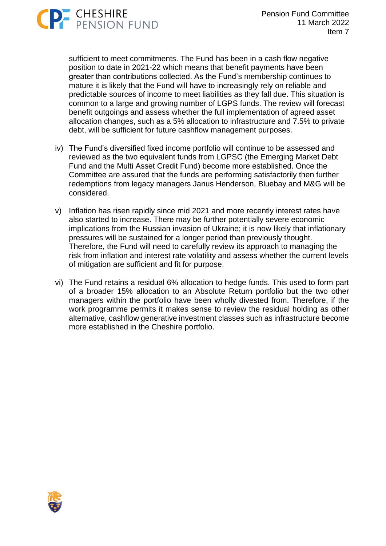

sufficient to meet commitments. The Fund has been in a cash flow negative position to date in 2021-22 which means that benefit payments have been greater than contributions collected. As the Fund's membership continues to mature it is likely that the Fund will have to increasingly rely on reliable and predictable sources of income to meet liabilities as they fall due. This situation is common to a large and growing number of LGPS funds. The review will forecast benefit outgoings and assess whether the full implementation of agreed asset allocation changes, such as a 5% allocation to infrastructure and 7.5% to private debt, will be sufficient for future cashflow management purposes.

- iv) The Fund's diversified fixed income portfolio will continue to be assessed and reviewed as the two equivalent funds from LGPSC (the Emerging Market Debt Fund and the Multi Asset Credit Fund) become more established. Once the Committee are assured that the funds are performing satisfactorily then further redemptions from legacy managers Janus Henderson, Bluebay and M&G will be considered.
- v) Inflation has risen rapidly since mid 2021 and more recently interest rates have also started to increase. There may be further potentially severe economic implications from the Russian invasion of Ukraine; it is now likely that inflationary pressures will be sustained for a longer period than previously thought. Therefore, the Fund will need to carefully review its approach to managing the risk from inflation and interest rate volatility and assess whether the current levels of mitigation are sufficient and fit for purpose.
- vi) The Fund retains a residual 6% allocation to hedge funds. This used to form part of a broader 15% allocation to an Absolute Return portfolio but the two other managers within the portfolio have been wholly divested from. Therefore, if the work programme permits it makes sense to review the residual holding as other alternative, cashflow generative investment classes such as infrastructure become more established in the Cheshire portfolio.

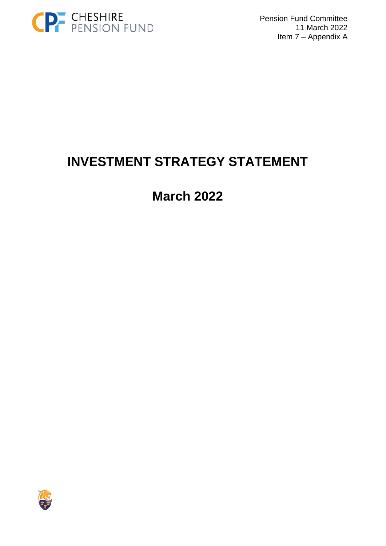

Pension Fund Committee 11 March 2022 Item 7 – Appendix A

# **INVESTMENT STRATEGY STATEMENT**

**March 2022**

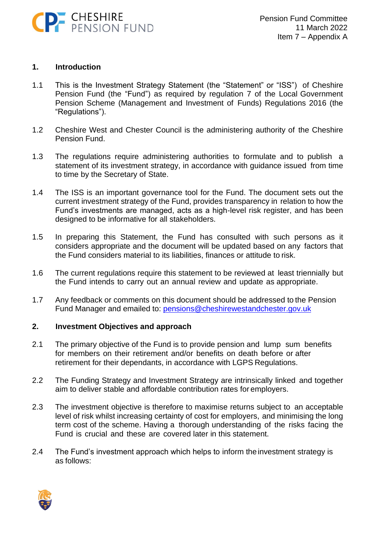

#### **1. Introduction**

- 1.1 This is the Investment Strategy Statement (the "Statement" or "ISS") of Cheshire Pension Fund (the "Fund") as required by regulation 7 of the Local Government Pension Scheme (Management and Investment of Funds) Regulations 2016 (the "Regulations").
- 1.2 Cheshire West and Chester Council is the administering authority of the Cheshire Pension Fund.
- 1.3 The regulations require administering authorities to formulate and to publish a statement of its investment strategy, in accordance with guidance issued from time to time by the Secretary of State.
- 1.4 The ISS is an important governance tool for the Fund. The document sets out the current investment strategy of the Fund, provides transparency in relation to how the Fund's investments are managed, acts as a high-level risk register, and has been designed to be informative for all stakeholders.
- 1.5 In preparing this Statement, the Fund has consulted with such persons as it considers appropriate and the document will be updated based on any factors that the Fund considers material to its liabilities, finances or attitude to risk.
- 1.6 The current regulations require this statement to be reviewed at least triennially but the Fund intends to carry out an annual review and update as appropriate.
- 1.7 Any feedback or comments on this document should be addressed to the Pension Fund Manager and emailed to: [pensions@cheshirewestandchester.gov.uk](mailto:pensions@cheshirewestandchester.gov.uk)

#### **2. Investment Objectives and approach**

- 2.1 The primary objective of the Fund is to provide pension and lump sum benefits for members on their retirement and/or benefits on death before or after retirement for their dependants, in accordance with LGPS Regulations.
- 2.2 The Funding Strategy and Investment Strategy are intrinsically linked and together aim to deliver stable and affordable contribution rates for employers.
- 2.3 The investment objective is therefore to maximise returns subject to an acceptable level of risk whilst increasing certainty of cost for employers, and minimising the long term cost of the scheme. Having a thorough understanding of the risks facing the Fund is crucial and these are covered later in this statement.
- 2.4 The Fund's investment approach which helps to inform theinvestment strategy is as follows:

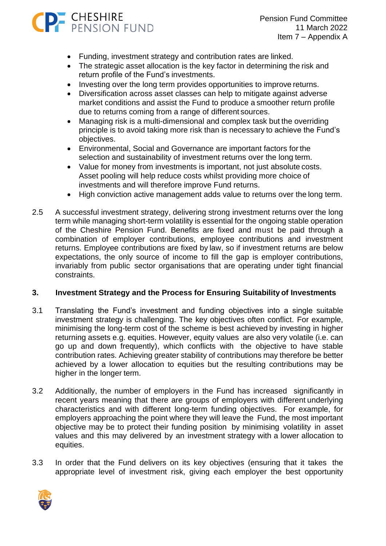

Pension Fund Committee 11 March 2022 Item 7 – Appendix A

- Funding, investment strategy and contribution rates are linked.
- The strategic asset allocation is the key factor in determining the risk and return profile of the Fund's investments.
- Investing over the long term provides opportunities to improve returns.
- Diversification across asset classes can help to mitigate against adverse market conditions and assist the Fund to produce a smoother return profile due to returns coming from a range of different sources.
- Managing risk is a multi-dimensional and complex task but the overriding principle is to avoid taking more risk than is necessary to achieve the Fund's objectives.
- Environmental, Social and Governance are important factors for the selection and sustainability of investment returns over the long term.
- Value for money from investments is important, not just absolute costs. Asset pooling will help reduce costs whilst providing more choice of investments and will therefore improve Fund returns.
- High conviction active management adds value to returns over the long term.
- 2.5 A successful investment strategy, delivering strong investment returns over the long term while managing short-term volatility is essential for the ongoing stable operation of the Cheshire Pension Fund. Benefits are fixed and must be paid through a combination of employer contributions, employee contributions and investment returns. Employee contributions are fixed by law, so if investment returns are below expectations, the only source of income to fill the gap is employer contributions, invariably from public sector organisations that are operating under tight financial constraints.

#### **3. Investment Strategy and the Process for Ensuring Suitability of Investments**

- 3.1 Translating the Fund's investment and funding objectives into a single suitable investment strategy is challenging. The key objectives often conflict. For example, minimising the long-term cost of the scheme is best achieved by investing in higher returning assets e.g. equities. However, equity values are also very volatile (i.e. can go up and down frequently), which conflicts with the objective to have stable contribution rates. Achieving greater stability of contributions may therefore be better achieved by a lower allocation to equities but the resulting contributions may be higher in the longer term.
- 3.2 Additionally, the number of employers in the Fund has increased significantly in recent years meaning that there are groups of employers with different underlying characteristics and with different long-term funding objectives. For example, for employers approaching the point where they will leave the Fund, the most important objective may be to protect their funding position by minimising volatility in asset values and this may delivered by an investment strategy with a lower allocation to equities.
- 3.3 In order that the Fund delivers on its key objectives (ensuring that it takes the appropriate level of investment risk, giving each employer the best opportunity

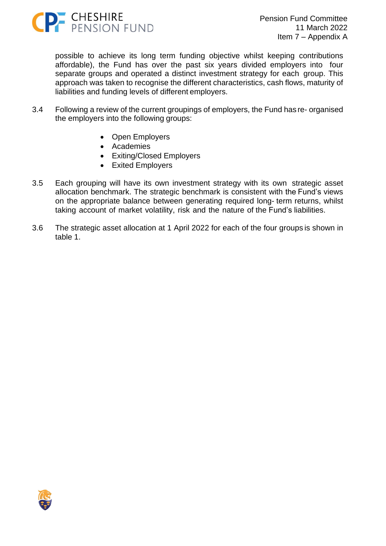

possible to achieve its long term funding objective whilst keeping contributions affordable), the Fund has over the past six years divided employers into four separate groups and operated a distinct investment strategy for each group. This approach was taken to recognise the different characteristics, cash flows, maturity of liabilities and funding levels of different employers.

- 3.4 Following a review of the current groupings of employers, the Fund has re- organised the employers into the following groups:
	- Open Employers
	- Academies
	- Exiting/Closed Employers
	- Exited Employers
- 3.5 Each grouping will have its own investment strategy with its own strategic asset allocation benchmark. The strategic benchmark is consistent with the Fund's views on the appropriate balance between generating required long- term returns, whilst taking account of market volatility, risk and the nature of the Fund's liabilities.
- 3.6 The strategic asset allocation at 1 April 2022 for each of the four groups is shown in table 1.

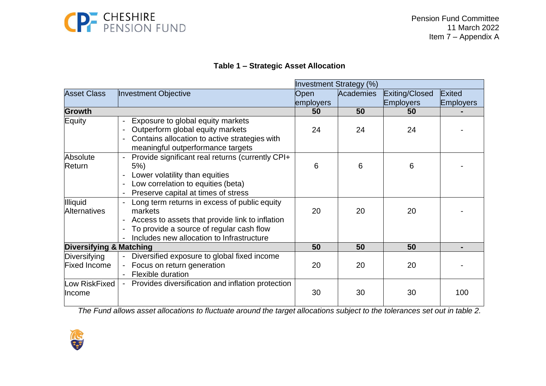

# **Table 1 – Strategic Asset Allocation**

|                                        |                                                                                                                                                                                                     |             | <b>Investment Strategy (%)</b> |                  |                  |
|----------------------------------------|-----------------------------------------------------------------------------------------------------------------------------------------------------------------------------------------------------|-------------|--------------------------------|------------------|------------------|
| <b>Asset Class</b>                     | Investment Objective                                                                                                                                                                                | <b>Open</b> | <b>Academies</b>               | Exiting/Closed   | Exited           |
|                                        |                                                                                                                                                                                                     | employers   |                                | <b>Employers</b> | <b>Employers</b> |
| <b>Growth</b>                          |                                                                                                                                                                                                     | 50          | 50                             | 50               |                  |
| Equity                                 | Exposure to global equity markets<br>Outperform global equity markets<br>Contains allocation to active strategies with<br>meaningful outperformance targets                                         | 24          | 24                             | 24               |                  |
| Absolute<br>Return                     | Provide significant real returns (currently CPI+<br>5%)<br>Lower volatility than equities<br>Low correlation to equities (beta)<br>Preserve capital at times of stress                              | 6           | 6                              | 6                |                  |
| <b>Illiquid</b><br><b>Alternatives</b> | Long term returns in excess of public equity<br>markets<br>Access to assets that provide link to inflation<br>To provide a source of regular cash flow<br>Includes new allocation to Infrastructure | 20          | 20                             | 20               |                  |
| <b>Diversifying &amp; Matching</b>     |                                                                                                                                                                                                     | 50          | 50                             | 50               |                  |
| Diversifying<br>Fixed Income           | Diversified exposure to global fixed income<br>Focus on return generation<br>Flexible duration                                                                                                      | 20          | 20                             | 20               |                  |
| Low RiskFixed<br><b>Income</b>         | Provides diversification and inflation protection                                                                                                                                                   | 30          | 30                             | 30               | 100              |

The Fund allows asset allocations to fluctuate around the target allocations subject to the tolerances set out in table 2.

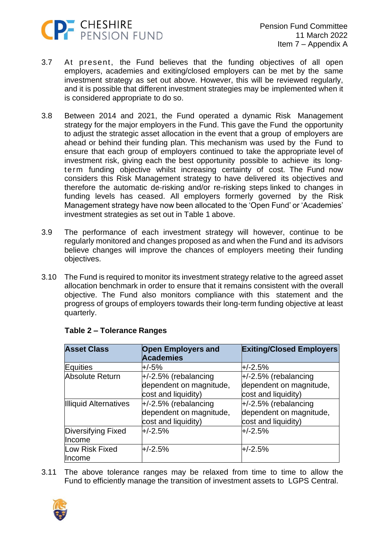

- 3.7 At present, the Fund believes that the funding objectives of all open employers, academies and exiting/closed employers can be met by the same investment strategy as set out above. However, this will be reviewed regularly, and it is possible that different investment strategies may be implemented when it is considered appropriate to do so.
- 3.8 Between 2014 and 2021, the Fund operated a dynamic Risk Management strategy for the major employers in the Fund. This gave the Fund the opportunity to adjust the strategic asset allocation in the event that a group of employers are ahead or behind their funding plan. This mechanism was used by the Fund to ensure that each group of employers continued to take the appropriate level of investment risk, giving each the best opportunity possible to achieve its longterm funding objective whilst increasing certainty of cost. The Fund now considers this Risk Management strategy to have delivered its objectives and therefore the automatic de-risking and/or re-risking steps linked to changes in funding levels has ceased. All employers formerly governed by the Risk Management strategy have now been allocated to the 'Open Fund' or 'Academies' investment strategies as set out in Table 1 above.
- 3.9 The performance of each investment strategy will however, continue to be regularly monitored and changes proposed as and when the Fund and its advisors believe changes will improve the chances of employers meeting their funding objectives.
- 3.10 The Fund is required to monitor its investment strategy relative to the agreed asset allocation benchmark in order to ensure that it remains consistent with the overall objective. The Fund also monitors compliance with this statement and the progress of groups of employers towards their long-term funding objective at least quarterly.

| <b>Asset Class</b>           | <b>Open Employers and</b><br><b>Academies</b> | <b>Exiting/Closed Employers</b> |
|------------------------------|-----------------------------------------------|---------------------------------|
| Equities                     | +/-5%                                         | $+/-2.5%$                       |
| Absolute Return              | $+/-2.5\%$ (rebalancing                       | $+/-2.5%$ (rebalancing          |
|                              | dependent on magnitude,                       | dependent on magnitude,         |
|                              | cost and liquidity)                           | cost and liquidity)             |
| <b>Illiquid Alternatives</b> | $+/-2.5\%$ (rebalancing                       | $+/-2.5\%$ (rebalancing         |
|                              | dependent on magnitude,                       | dependent on magnitude,         |
|                              | cost and liquidity)                           | cost and liquidity)             |
| Diversifying Fixed           | $+/-2.5%$                                     | $+/-2.5%$                       |
| Income                       |                                               |                                 |
| Low Risk Fixed               | $+/-2.5%$                                     | $+/-2.5%$                       |
| Income                       |                                               |                                 |

#### **Table 2 – Tolerance Ranges**

3.11 The above tolerance ranges may be relaxed from time to time to allow the Fund to efficiently manage the transition of investment assets to LGPS Central.

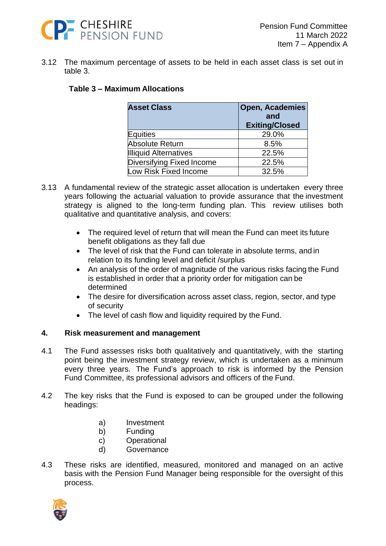

3.12 The maximum percentage of assets to be held in each asset class is set out in table 3.

#### **Table 3 – Maximum Allocations**

| <b>Asset Class</b>           | <b>Open, Academies</b> |  |
|------------------------------|------------------------|--|
|                              | and                    |  |
|                              | <b>Exiting/Closed</b>  |  |
| Equities                     | 29.0%                  |  |
| Absolute Return              | 8.5%                   |  |
| <b>Illiquid Alternatives</b> | 22.5%                  |  |
| Diversifying Fixed Income    | 22.5%                  |  |
| Low Risk Fixed Income        | 32.5%                  |  |

- 3.13 A fundamental review of the strategic asset allocation is undertaken every three years following the actuarial valuation to provide assurance that the investment strategy is aligned to the long-term funding plan. This review utilises both qualitative and quantitative analysis, and covers:
	- The required level of return that will mean the Fund can meet its future benefit obligations as they fall due
	- The level of risk that the Fund can tolerate in absolute terms, and in relation to its funding level and deficit /surplus
	- An analysis of the order of magnitude of the various risks facing the Fund is established in order that a priority order for mitigation can be determined
	- The desire for diversification across asset class, region, sector, and type of security
	- The level of cash flow and liquidity required by the Fund.

#### **4. Risk measurement and management**

- 4.1 The Fund assesses risks both qualitatively and quantitatively, with the starting point being the investment strategy review, which is undertaken as a minimum every three years. The Fund's approach to risk is informed by the Pension Fund Committee, its professional advisors and officers of the Fund.
- 4.2 The key risks that the Fund is exposed to can be grouped under the following headings:
	- a) Investment
	- b) Funding
	- c) Operational
	- d) Governance
- 4.3 These risks are identified, measured, monitored and managed on an active basis with the Pension Fund Manager being responsible for the oversight of this process.

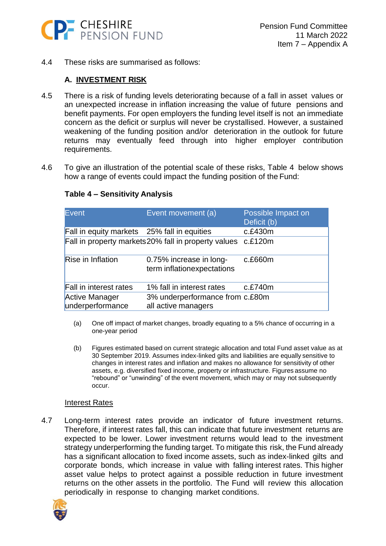

4.4 These risks are summarised as follows:

#### **A. INVESTMENT RISK**

- 4.5 There is a risk of funding levels deteriorating because of a fall in asset values or an unexpected increase in inflation increasing the value of future pensions and benefit payments. For open employers the funding level itself is not an immediate concern as the deficit or surplus will never be crystallised. However, a sustained weakening of the funding position and/or deterioration in the outlook for future returns may eventually feed through into higher employer contribution requirements.
- 4.6 To give an illustration of the potential scale of these risks, Table 4 below shows how a range of events could impact the funding position of the Fund:

| Event                                       | Event movement (a)                                           | Possible Impact on<br>Deficit (b) |
|---------------------------------------------|--------------------------------------------------------------|-----------------------------------|
| Fall in equity markets 25% fall in equities |                                                              | c.f.430m                          |
|                                             | Fall in property markets 20% fall in property values c.£120m |                                   |
| <b>Rise in Inflation</b>                    | 0.75% increase in long-<br>term inflationexpectations        | c.£660m                           |
| Fall in interest rates                      | 1% fall in interest rates                                    | c.E740m                           |
| <b>Active Manager</b><br>underperformance   | 3% underperformance from c.£80m<br>all active managers       |                                   |

#### **Table 4 – Sensitivity Analysis**

- (a) One off impact of market changes, broadly equating to a 5% chance of occurring in a one-year period
- (b) Figures estimated based on current strategic allocation and total Fund asset value as at 30 September 2019. Assumes index-linked gilts and liabilities are equally sensitive to changes in interest rates and inflation and makes no allowance for sensitivity of other assets, e.g. diversified fixed income, property or infrastructure. Figures assume no "rebound" or "unwinding" of the event movement, which may or may not subsequently occur.

#### Interest Rates

4.7 Long-term interest rates provide an indicator of future investment returns. Therefore, if interest rates fall, this can indicate that future investment returns are expected to be lower. Lower investment returns would lead to the investment strategy underperforming the funding target. To mitigate this risk, the Fund already has a significant allocation to fixed income assets, such as index-linked gilts and corporate bonds, which increase in value with falling interest rates. This higher asset value helps to protect against a possible reduction in future investment returns on the other assets in the portfolio. The Fund will review this allocation periodically in response to changing market conditions.

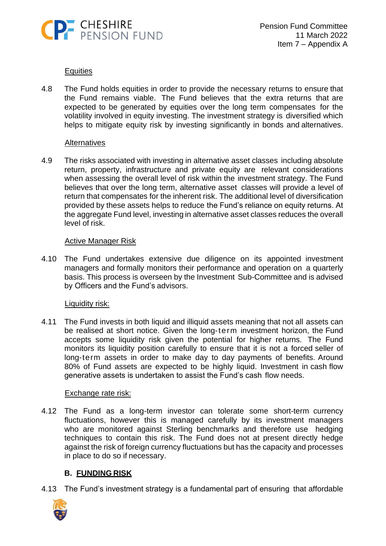

#### Equities

4.8 The Fund holds equities in order to provide the necessary returns to ensure that the Fund remains viable. The Fund believes that the extra returns that are expected to be generated by equities over the long term compensates for the volatility involved in equity investing. The investment strategy is diversified which helps to mitigate equity risk by investing significantly in bonds and alternatives.

#### **Alternatives**

4.9 The risks associated with investing in alternative asset classes including absolute return, property, infrastructure and private equity are relevant considerations when assessing the overall level of risk within the investment strategy. The Fund believes that over the long term, alternative asset classes will provide a level of return that compensates for the inherent risk. The additional level of diversification provided by these assets helps to reduce the Fund's reliance on equity returns. At the aggregate Fund level, investing in alternative asset classes reduces the overall level of risk.

#### Active Manager Risk

4.10 The Fund undertakes extensive due diligence on its appointed investment managers and formally monitors their performance and operation on a quarterly basis. This process is overseen by the Investment Sub-Committee and is advised by Officers and the Fund's advisors.

#### Liquidity risk:

4.11 The Fund invests in both liquid and illiquid assets meaning that not all assets can be realised at short notice. Given the long-term investment horizon, the Fund accepts some liquidity risk given the potential for higher returns. The Fund monitors its liquidity position carefully to ensure that it is not a forced seller of long-term assets in order to make day to day payments of benefits. Around 80% of Fund assets are expected to be highly liquid. Investment in cash flow generative assets is undertaken to assist the Fund's cash flow needs.

#### Exchange rate risk:

4.12 The Fund as a long-term investor can tolerate some short-term currency fluctuations, however this is managed carefully by its investment managers who are monitored against Sterling benchmarks and therefore use hedging techniques to contain this risk. The Fund does not at present directly hedge against the risk of foreign currency fluctuations but has the capacity and processes in place to do so if necessary.

# **B. FUNDING RISK**

4.13 The Fund's investment strategy is a fundamental part of ensuring that affordable

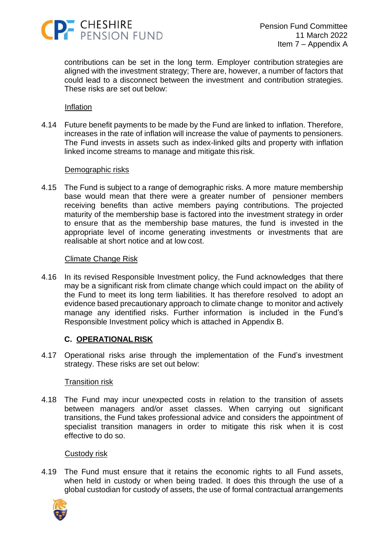

contributions can be set in the long term. Employer contribution strategies are aligned with the investment strategy; There are, however, a number of factors that could lead to a disconnect between the investment and contribution strategies. These risks are set out below:

#### Inflation

4.14 Future benefit payments to be made by the Fund are linked to inflation. Therefore, increases in the rate of inflation will increase the value of payments to pensioners. The Fund invests in assets such as index-linked gilts and property with inflation linked income streams to manage and mitigate this risk.

#### Demographic risks

4.15 The Fund is subject to a range of demographic risks. A more mature membership base would mean that there were a greater number of pensioner members receiving benefits than active members paying contributions. The projected maturity of the membership base is factored into the investment strategy in order to ensure that as the membership base matures, the fund is invested in the appropriate level of income generating investments or investments that are realisable at short notice and at low cost.

#### Climate Change Risk

4.16 In its revised Responsible Investment policy, the Fund acknowledges that there may be a significant risk from climate change which could impact on the ability of the Fund to meet its long term liabilities. It has therefore resolved to adopt an evidence based precautionary approach to climate change to monitor and actively manage any identified risks. Further information is included in the Fund's Responsible Investment policy which is attached in Appendix B.

#### **C. OPERATIONAL RISK**

4.17 Operational risks arise through the implementation of the Fund's investment strategy. These risks are set out below:

#### Transition risk

4.18 The Fund may incur unexpected costs in relation to the transition of assets between managers and/or asset classes. When carrying out significant transitions, the Fund takes professional advice and considers the appointment of specialist transition managers in order to mitigate this risk when it is cost effective to do so.

#### Custody risk

4.19 The Fund must ensure that it retains the economic rights to all Fund assets, when held in custody or when being traded. It does this through the use of a global custodian for custody of assets, the use of formal contractual arrangements

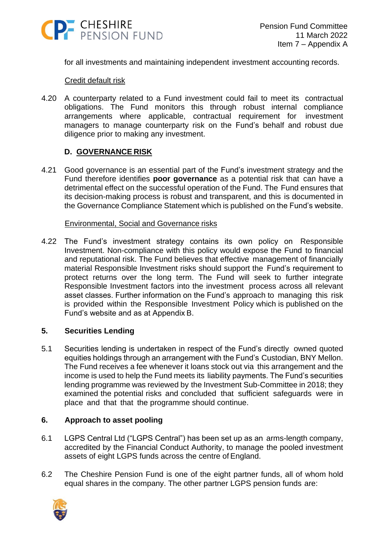

for all investments and maintaining independent investment accounting records.

#### Credit default risk

4.20 A counterparty related to a Fund investment could fail to meet its contractual obligations. The Fund monitors this through robust internal compliance arrangements where applicable, contractual requirement for investment managers to manage counterparty risk on the Fund's behalf and robust due diligence prior to making any investment.

#### **D. GOVERNANCE RISK**

4.21 Good governance is an essential part of the Fund's investment strategy and the Fund therefore identifies **poor governance** as a potential risk that can have a detrimental effect on the successful operation of the Fund. The Fund ensures that its decision-making process is robust and transparent, and this is documented in the Governance Compliance Statement which is published on the Fund's website.

#### Environmental, Social and Governance risks

4.22 The Fund's investment strategy contains its own policy on Responsible Investment. Non-compliance with this policy would expose the Fund to financial and reputational risk. The Fund believes that effective management of financially material Responsible Investment risks should support the Fund's requirement to protect returns over the long term. The Fund will seek to further integrate Responsible Investment factors into the investment process across all relevant asset classes. Further information on the Fund's approach to managing this risk is provided within the Responsible Investment Policy which is published on the Fund's website and as at Appendix B.

#### **5. Securities Lending**

5.1 Securities lending is undertaken in respect of the Fund's directly owned quoted equities holdings through an arrangement with the Fund's Custodian, BNY Mellon. The Fund receives a fee whenever it loans stock out via this arrangement and the income is used to help the Fund meets its liability payments. The Fund's securities lending programme was reviewed by the Investment Sub-Committee in 2018; they examined the potential risks and concluded that sufficient safeguards were in place and that that the programme should continue.

#### **6. Approach to asset pooling**

- 6.1 LGPS Central Ltd ("LGPS Central") has been set up as an arms-length company, accredited by the Financial Conduct Authority, to manage the pooled investment assets of eight LGPS funds across the centre of England.
- 6.2 The Cheshire Pension Fund is one of the eight partner funds, all of whom hold equal shares in the company. The other partner LGPS pension funds are:

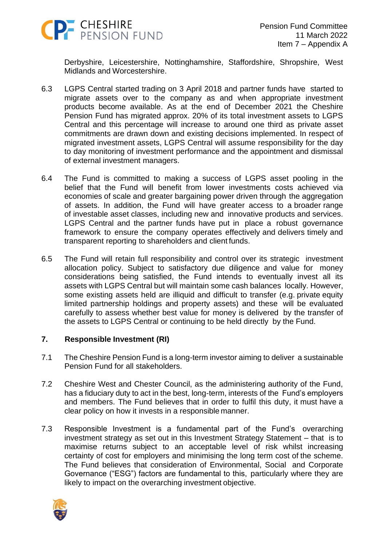

Derbyshire, Leicestershire, Nottinghamshire, Staffordshire, Shropshire, West Midlands and Worcestershire.

- 6.3 LGPS Central started trading on 3 April 2018 and partner funds have started to migrate assets over to the company as and when appropriate investment products become available. As at the end of December 2021 the Cheshire Pension Fund has migrated approx. 20% of its total investment assets to LGPS Central and this percentage will increase to around one third as private asset commitments are drawn down and existing decisions implemented. In respect of migrated investment assets, LGPS Central will assume responsibility for the day to day monitoring of investment performance and the appointment and dismissal of external investment managers.
- 6.4 The Fund is committed to making a success of LGPS asset pooling in the belief that the Fund will benefit from lower investments costs achieved via economies of scale and greater bargaining power driven through the aggregation of assets. In addition, the Fund will have greater access to a broader range of investable asset classes, including new and innovative products and services. LGPS Central and the partner funds have put in place a robust governance framework to ensure the company operates effectively and delivers timely and transparent reporting to shareholders and client funds.
- 6.5 The Fund will retain full responsibility and control over its strategic investment allocation policy. Subject to satisfactory due diligence and value for money considerations being satisfied, the Fund intends to eventually invest all its assets with LGPS Central but will maintain some cash balances locally. However, some existing assets held are illiquid and difficult to transfer (e.g. private equity limited partnership holdings and property assets) and these will be evaluated carefully to assess whether best value for money is delivered by the transfer of the assets to LGPS Central or continuing to be held directly by the Fund.

#### **7. Responsible Investment (RI)**

- 7.1 The Cheshire Pension Fund is a long-term investor aiming to deliver a sustainable Pension Fund for all stakeholders.
- 7.2 Cheshire West and Chester Council, as the administering authority of the Fund, has a fiduciary duty to act in the best, long-term, interests of the Fund's employers and members. The Fund believes that in order to fulfil this duty, it must have a clear policy on how it invests in a responsible manner.
- 7.3 Responsible Investment is a fundamental part of the Fund's overarching investment strategy as set out in this Investment Strategy Statement – that is to maximise returns subject to an acceptable level of risk whilst increasing certainty of cost for employers and minimising the long term cost of the scheme. The Fund believes that consideration of Environmental, Social and Corporate Governance ("ESG") factors are fundamental to this, particularly where they are likely to impact on the overarching investment objective.

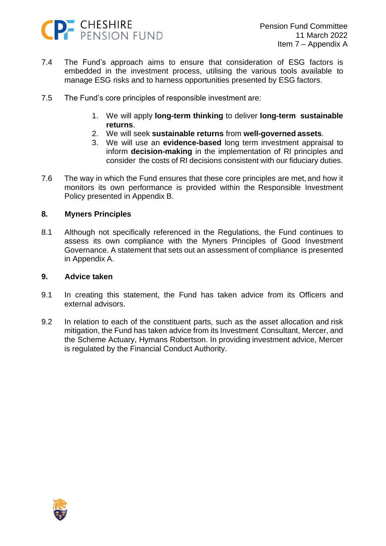

- 7.4 The Fund's approach aims to ensure that consideration of ESG factors is embedded in the investment process, utilising the various tools available to manage ESG risks and to harness opportunities presented by ESG factors.
- 7.5 The Fund's core principles of responsible investment are:
	- 1. We will apply **long-term thinking** to deliver **long-term sustainable returns**.
	- 2. We will seek **sustainable returns** from **well-governed assets**.
	- 3. We will use an **evidence-based** long term investment appraisal to inform **decision-making** in the implementation of RI principles and consider the costs of RI decisions consistent with our fiduciary duties.
- 7.6 The way in which the Fund ensures that these core principles are met, and how it monitors its own performance is provided within the Responsible Investment Policy presented in Appendix B.

#### **8. Myners Principles**

8.1 Although not specifically referenced in the Regulations, the Fund continues to assess its own compliance with the Myners Principles of Good Investment Governance. A statement that sets out an assessment of compliance is presented in Appendix A.

#### **9. Advice taken**

- 9.1 In creating this statement, the Fund has taken advice from its Officers and external advisors.
- 9.2 In relation to each of the constituent parts, such as the asset allocation and risk mitigation, the Fund has taken advice from its Investment Consultant, Mercer, and the Scheme Actuary, Hymans Robertson. In providing investment advice, Mercer is regulated by the Financial Conduct Authority.

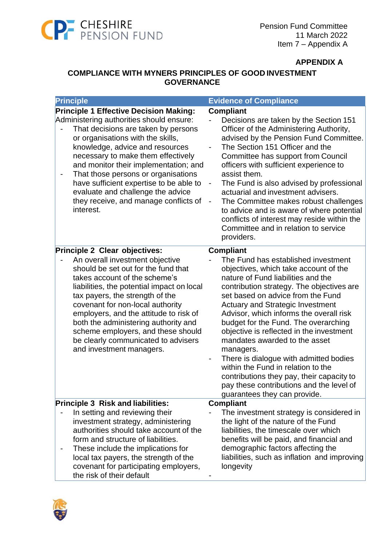

#### **APPENDIX A**

# **COMPLIANCE WITH MYNERS PRINCIPLES OF GOOD INVESTMENT GOVERNANCE**

| <b>Principle</b>                                                                                                                                                                                                                                                                                                                                                                                                                                                     | <b>Evidence of Compliance</b>                                                                                                                                                                                                                                                                                                                                                                                                                                                                                                                                                                                                                                                             |
|----------------------------------------------------------------------------------------------------------------------------------------------------------------------------------------------------------------------------------------------------------------------------------------------------------------------------------------------------------------------------------------------------------------------------------------------------------------------|-------------------------------------------------------------------------------------------------------------------------------------------------------------------------------------------------------------------------------------------------------------------------------------------------------------------------------------------------------------------------------------------------------------------------------------------------------------------------------------------------------------------------------------------------------------------------------------------------------------------------------------------------------------------------------------------|
| <b>Principle 1 Effective Decision Making:</b><br>Administering authorities should ensure:<br>That decisions are taken by persons<br>or organisations with the skills,<br>knowledge, advice and resources<br>necessary to make them effectively<br>and monitor their implementation; and<br>That those persons or organisations<br>have sufficient expertise to be able to<br>evaluate and challenge the advice<br>they receive, and manage conflicts of<br>interest. | <b>Compliant</b><br>Decisions are taken by the Section 151<br>Officer of the Administering Authority,<br>advised by the Pension Fund Committee.<br>The Section 151 Officer and the<br>Committee has support from Council<br>officers with sufficient experience to<br>assist them.<br>The Fund is also advised by professional<br>$\qquad \qquad \blacksquare$<br>actuarial and investment advisers.<br>The Committee makes robust challenges<br>$\qquad \qquad \blacksquare$<br>to advice and is aware of where potential<br>conflicts of interest may reside within the<br>Committee and in relation to service<br>providers.                                                           |
| Principle 2 Clear objectives:<br>An overall investment objective<br>should be set out for the fund that<br>takes account of the scheme's<br>liabilities, the potential impact on local<br>tax payers, the strength of the<br>covenant for non-local authority<br>employers, and the attitude to risk of<br>both the administering authority and<br>scheme employers, and these should<br>be clearly communicated to advisers<br>and investment managers.             | <b>Compliant</b><br>The Fund has established investment<br>objectives, which take account of the<br>nature of Fund liabilities and the<br>contribution strategy. The objectives are<br>set based on advice from the Fund<br><b>Actuary and Strategic Investment</b><br>Advisor, which informs the overall risk<br>budget for the Fund. The overarching<br>objective is reflected in the investment<br>mandates awarded to the asset<br>managers.<br>There is dialogue with admitted bodies<br>$\qquad \qquad \blacksquare$<br>within the Fund in relation to the<br>contributions they pay, their capacity to<br>pay these contributions and the level of<br>guarantees they can provide. |
| Principle 3 Risk and liabilities:<br>In setting and reviewing their<br>investment strategy, administering<br>authorities should take account of the<br>form and structure of liabilities.<br>These include the implications for<br>local tax payers, the strength of the<br>covenant for participating employers,<br>the risk of their default                                                                                                                       | <b>Compliant</b><br>The investment strategy is considered in<br>the light of the nature of the Fund<br>liabilities, the timescale over which<br>benefits will be paid, and financial and<br>demographic factors affecting the<br>liabilities, such as inflation and improving<br>longevity                                                                                                                                                                                                                                                                                                                                                                                                |

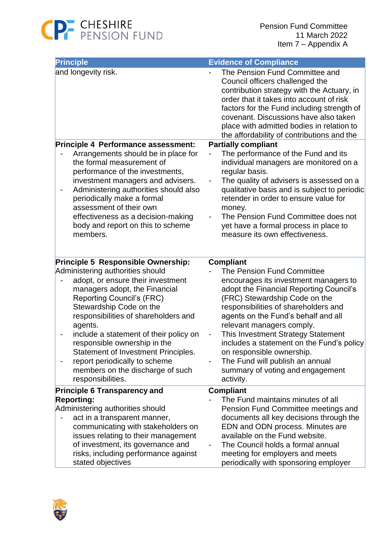

| <b>Principle</b>                                                                                                                                                                                                                                                                                                                                                                                                                    | <b>Evidence of Compliance</b>                                                                                                                                                                                                                                                                                                                                                                                                                                   |
|-------------------------------------------------------------------------------------------------------------------------------------------------------------------------------------------------------------------------------------------------------------------------------------------------------------------------------------------------------------------------------------------------------------------------------------|-----------------------------------------------------------------------------------------------------------------------------------------------------------------------------------------------------------------------------------------------------------------------------------------------------------------------------------------------------------------------------------------------------------------------------------------------------------------|
| and longevity risk.                                                                                                                                                                                                                                                                                                                                                                                                                 | The Pension Fund Committee and<br>Council officers challenged the<br>contribution strategy with the Actuary, in<br>order that it takes into account of risk<br>factors for the Fund including strength of<br>covenant. Discussions have also taken<br>place with admitted bodies in relation to<br>the affordability of contributions and the                                                                                                                   |
| Principle 4 Performance assessment:                                                                                                                                                                                                                                                                                                                                                                                                 | <b>Partially compliant</b>                                                                                                                                                                                                                                                                                                                                                                                                                                      |
| Arrangements should be in place for<br>the formal measurement of<br>performance of the investments,<br>investment managers and advisers.<br>Administering authorities should also<br>periodically make a formal<br>assessment of their own<br>effectiveness as a decision-making<br>body and report on this to scheme<br>members.                                                                                                   | The performance of the Fund and its<br>individual managers are monitored on a<br>regular basis.<br>The quality of advisers is assessed on a<br>qualitative basis and is subject to periodic<br>retender in order to ensure value for<br>money.<br>The Pension Fund Committee does not<br>yet have a formal process in place to<br>measure its own effectiveness.                                                                                                |
| Principle 5 Responsible Ownership:                                                                                                                                                                                                                                                                                                                                                                                                  | <b>Compliant</b>                                                                                                                                                                                                                                                                                                                                                                                                                                                |
| Administering authorities should<br>adopt, or ensure their investment<br>managers adopt, the Financial<br><b>Reporting Council's (FRC)</b><br>Stewardship Code on the<br>responsibilities of shareholders and<br>agents.<br>include a statement of their policy on<br>responsible ownership in the<br>Statement of Investment Principles.<br>report periodically to scheme<br>members on the discharge of such<br>responsibilities. | The Pension Fund Committee<br>encourages its investment managers to<br>adopt the Financial Reporting Council's<br>(FRC) Stewardship Code on the<br>responsibilities of shareholders and<br>agents on the Fund's behalf and all<br>relevant managers comply.<br>This Investment Strategy Statement<br>includes a statement on the Fund's policy<br>on responsible ownership.<br>The Fund will publish an annual<br>summary of voting and engagement<br>activity. |
| <b>Principle 6 Transparency and</b><br><b>Reporting:</b><br>Administering authorities should<br>act in a transparent manner,<br>communicating with stakeholders on<br>issues relating to their management<br>of investment, its governance and<br>risks, including performance against<br>stated objectives                                                                                                                         | <b>Compliant</b><br>The Fund maintains minutes of all<br>Pension Fund Committee meetings and<br>documents all key decisions through the<br>EDN and ODN process. Minutes are<br>available on the Fund website.<br>The Council holds a formal annual<br>meeting for employers and meets<br>periodically with sponsoring employer                                                                                                                                  |

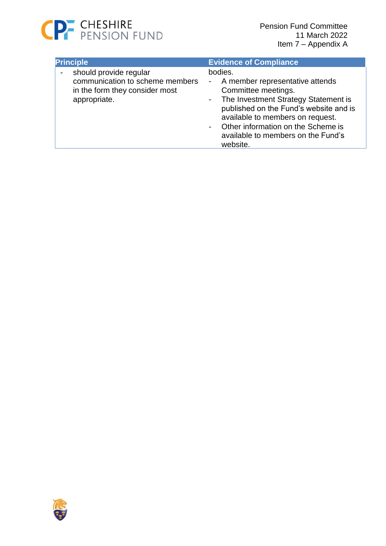

| <b>Principle</b>                                                                                            | <b>Evidence of Compliance</b>                                                                                                                                                                                                                                                       |
|-------------------------------------------------------------------------------------------------------------|-------------------------------------------------------------------------------------------------------------------------------------------------------------------------------------------------------------------------------------------------------------------------------------|
| should provide regular<br>communication to scheme members<br>in the form they consider most<br>appropriate. | bodies.<br>- A member representative attends<br>Committee meetings.<br>- The Investment Strategy Statement is<br>published on the Fund's website and is<br>available to members on request.<br>Other information on the Scheme is<br>available to members on the Fund's<br>website. |

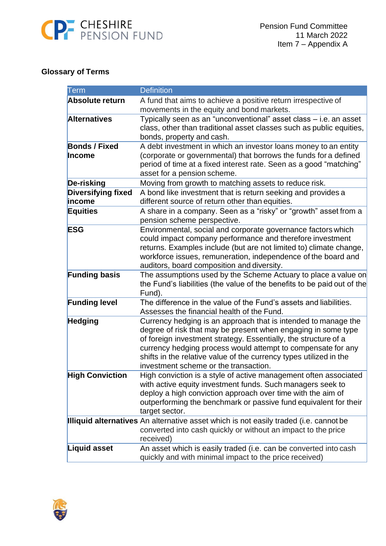

# **Glossary of Terms**

| Term                      | <b>Definition</b>                                                                                                                                                                                                                                                                                                                                                                 |
|---------------------------|-----------------------------------------------------------------------------------------------------------------------------------------------------------------------------------------------------------------------------------------------------------------------------------------------------------------------------------------------------------------------------------|
| Absolute return           | A fund that aims to achieve a positive return irrespective of                                                                                                                                                                                                                                                                                                                     |
|                           | movements in the equity and bond markets.                                                                                                                                                                                                                                                                                                                                         |
| <b>Alternatives</b>       | Typically seen as an "unconventional" asset class - i.e. an asset<br>class, other than traditional asset classes such as public equities,                                                                                                                                                                                                                                         |
|                           | bonds, property and cash.                                                                                                                                                                                                                                                                                                                                                         |
| <b>Bonds / Fixed</b>      | A debt investment in which an investor loans money to an entity                                                                                                                                                                                                                                                                                                                   |
| Income                    | (corporate or governmental) that borrows the funds for a defined<br>period of time at a fixed interest rate. Seen as a good "matching"<br>asset for a pension scheme.                                                                                                                                                                                                             |
| <b>De-risking</b>         | Moving from growth to matching assets to reduce risk.                                                                                                                                                                                                                                                                                                                             |
| <b>Diversifying fixed</b> | A bond like investment that is return seeking and provides a                                                                                                                                                                                                                                                                                                                      |
| income                    | different source of return other than equities.                                                                                                                                                                                                                                                                                                                                   |
| <b>Equities</b>           | A share in a company. Seen as a "risky" or "growth" asset from a<br>pension scheme perspective.                                                                                                                                                                                                                                                                                   |
| <b>ESG</b>                | Environmental, social and corporate governance factors which<br>could impact company performance and therefore investment<br>returns. Examples include (but are not limited to) climate change,<br>workforce issues, remuneration, independence of the board and<br>auditors, board composition and diversity.                                                                    |
| <b>Funding basis</b>      | The assumptions used by the Scheme Actuary to place a value on<br>the Fund's liabilities (the value of the benefits to be paid out of the<br>Fund).                                                                                                                                                                                                                               |
| <b>Funding level</b>      | The difference in the value of the Fund's assets and liabilities.<br>Assesses the financial health of the Fund.                                                                                                                                                                                                                                                                   |
| <b>Hedging</b>            | Currency hedging is an approach that is intended to manage the<br>degree of risk that may be present when engaging in some type<br>of foreign investment strategy. Essentially, the structure of a<br>currency hedging process would attempt to compensate for any<br>shifts in the relative value of the currency types utilized in the<br>investment scheme or the transaction. |
| <b>High Conviction</b>    | High conviction is a style of active management often associated<br>with active equity investment funds. Such managers seek to<br>deploy a high conviction approach over time with the aim of<br>outperforming the benchmark or passive fund equivalent for their<br>target sector.                                                                                               |
|                           | Illiquid alternatives An alternative asset which is not easily traded (i.e. cannot be<br>converted into cash quickly or without an impact to the price<br>received)                                                                                                                                                                                                               |
| Liquid asset              | An asset which is easily traded (i.e. can be converted into cash<br>quickly and with minimal impact to the price received)                                                                                                                                                                                                                                                        |

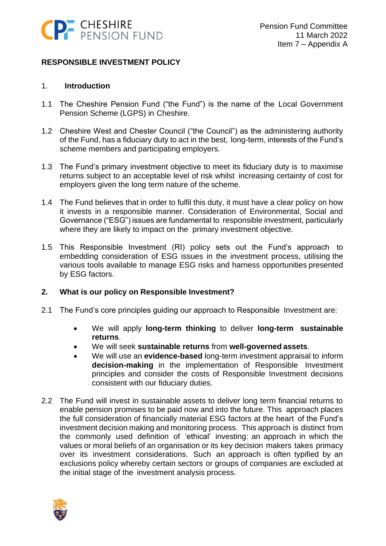

# **RESPONSIBLE INVESTMENT POLICY**

#### 1. **Introduction**

- 1.1 The Cheshire Pension Fund ("the Fund") is the name of the Local Government Pension Scheme (LGPS) in Cheshire.
- 1.2 Cheshire West and Chester Council ("the Council") as the administering authority of the Fund, has a fiduciary duty to act in the best, long-term, interests of the Fund's scheme members and participating employers.
- 1.3 The Fund's primary investment objective to meet its fiduciary duty is to maximise returns subject to an acceptable level of risk whilst increasing certainty of cost for employers given the long term nature of the scheme.
- 1.4 The Fund believes that in order to fulfil this duty, it must have a clear policy on how it invests in a responsible manner. Consideration of Environmental, Social and Governance ("ESG") issues are fundamental to responsible investment, particularly where they are likely to impact on the primary investment objective.
- 1.5 This Responsible Investment (RI) policy sets out the Fund's approach to embedding consideration of ESG issues in the investment process, utilising the various tools available to manage ESG risks and harness opportunities presented by ESG factors.

#### **2. What is our policy on Responsible Investment?**

- 2.1 The Fund's core principles guiding our approach to Responsible Investment are:
	- We will apply **long-term thinking** to deliver **long-term sustainable returns**.
	- We will seek **sustainable returns** from **well-governed assets**.
	- We will use an **evidence-based** long-term investment appraisal to inform **decision-making** in the implementation of Responsible Investment principles and consider the costs of Responsible Investment decisions consistent with our fiduciary duties.
- 2.2 The Fund will invest in sustainable assets to deliver long term financial returns to enable pension promises to be paid now and into the future. This approach places the full consideration of financially material ESG factors at the heart of the Fund's investment decision making and monitoring process. This approach is distinct from the commonly used definition of 'ethical' investing: an approach in which the values or moral beliefs of an organisation or its key decision makers takes primacy over its investment considerations. Such an approach is often typified by an exclusions policy whereby certain sectors or groups of companies are excluded at the initial stage of the investment analysis process.

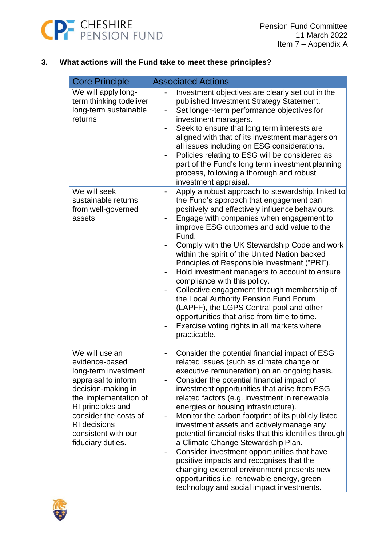

# **3. What actions will the Fund take to meet these principles?**

| <b>Core Principle</b>                                                                                                                                                                                                                           | <b>Associated Actions</b>                                                                                                                                                                                                                                                                                                                                                                                                                                                                                                                                                                                                                                                                                                                                                                                 |
|-------------------------------------------------------------------------------------------------------------------------------------------------------------------------------------------------------------------------------------------------|-----------------------------------------------------------------------------------------------------------------------------------------------------------------------------------------------------------------------------------------------------------------------------------------------------------------------------------------------------------------------------------------------------------------------------------------------------------------------------------------------------------------------------------------------------------------------------------------------------------------------------------------------------------------------------------------------------------------------------------------------------------------------------------------------------------|
| We will apply long-<br>term thinking todeliver<br>long-term sustainable<br>returns                                                                                                                                                              | Investment objectives are clearly set out in the<br>published Investment Strategy Statement.<br>Set longer-term performance objectives for<br>-<br>investment managers.<br>Seek to ensure that long term interests are<br>aligned with that of its investment managers on<br>all issues including on ESG considerations.<br>Policies relating to ESG will be considered as<br>۰<br>part of the Fund's long term investment planning<br>process, following a thorough and robust<br>investment appraisal.                                                                                                                                                                                                                                                                                                  |
| We will seek<br>sustainable returns<br>from well-governed<br>assets                                                                                                                                                                             | Apply a robust approach to stewardship, linked to<br>$\qquad \qquad \blacksquare$<br>the Fund's approach that engagement can<br>positively and effectively influence behaviours.<br>Engage with companies when engagement to<br>improve ESG outcomes and add value to the<br>Fund.<br>Comply with the UK Stewardship Code and work<br>within the spirit of the United Nation backed<br>Principles of Responsible Investment ("PRI").<br>Hold investment managers to account to ensure<br>$\overline{\phantom{0}}$<br>compliance with this policy.<br>Collective engagement through membership of<br>-<br>the Local Authority Pension Fund Forum<br>(LAPFF), the LGPS Central pool and other<br>opportunities that arise from time to time.<br>Exercise voting rights in all markets where<br>practicable. |
| We will use an<br>evidence-based<br>long-term investment<br>appraisal to inform<br>decision-making in<br>the implementation of<br>RI principles and<br>consider the costs of<br><b>RI</b> decisions<br>consistent with our<br>fiduciary duties. | Consider the potential financial impact of ESG<br>related issues (such as climate change or<br>executive remuneration) on an ongoing basis.<br>Consider the potential financial impact of<br>investment opportunities that arise from ESG<br>related factors (e.g. investment in renewable<br>energies or housing infrastructure).<br>Monitor the carbon footprint of its publicly listed<br>investment assets and actively manage any<br>potential financial risks that this identifies through<br>a Climate Change Stewardship Plan.<br>Consider investment opportunities that have<br>-<br>positive impacts and recognises that the<br>changing external environment presents new<br>opportunities i.e. renewable energy, green<br>technology and social impact investments.                           |

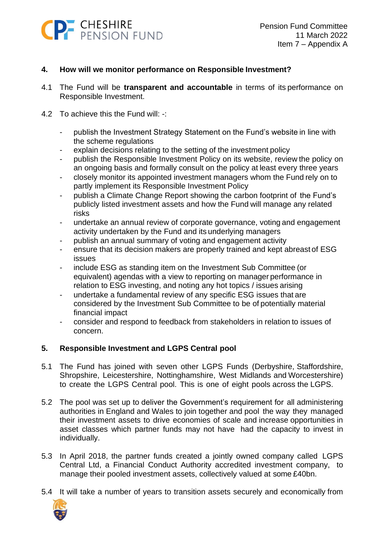

# **4. How will we monitor performance on Responsible Investment?**

- 4.1 The Fund will be **transparent and accountable** in terms of its performance on Responsible Investment.
- 4.2 To achieve this the Fund will: -:
	- publish the Investment Strategy Statement on the Fund's website in line with the scheme regulations
	- explain decisions relating to the setting of the investment policy
	- publish the Responsible Investment Policy on its website, review the policy on an ongoing basis and formally consult on the policy at least every three years
	- closely monitor its appointed investment managers whom the Fund rely on to partly implement its Responsible Investment Policy
	- publish a Climate Change Report showing the carbon footprint of the Fund's publicly listed investment assets and how the Fund will manage any related risks
	- undertake an annual review of corporate governance, voting and engagement activity undertaken by the Fund and its underlying managers
	- publish an annual summary of voting and engagement activity
	- ensure that its decision makers are properly trained and kept abreast of ESG issues
	- include ESG as standing item on the Investment Sub Committee (or equivalent) agendas with a view to reporting on manager performance in relation to ESG investing, and noting any hot topics / issues arising
	- undertake a fundamental review of any specific ESG issues that are considered by the Investment Sub Committee to be of potentially material financial impact
	- consider and respond to feedback from stakeholders in relation to issues of concern.

#### **5. Responsible Investment and LGPS Central pool**

- 5.1 The Fund has joined with seven other LGPS Funds (Derbyshire, Staffordshire, Shropshire, Leicestershire, Nottinghamshire, West Midlands and Worcestershire) to create the LGPS Central pool. This is one of eight pools across the LGPS.
- 5.2 The pool was set up to deliver the Government's requirement for all administering authorities in England and Wales to join together and pool the way they managed their investment assets to drive economies of scale and increase opportunities in asset classes which partner funds may not have had the capacity to invest in individually.
- 5.3 In April 2018, the partner funds created a jointly owned company called LGPS Central Ltd, a Financial Conduct Authority accredited investment company, to manage their pooled investment assets, collectively valued at some £40bn.
- 5.4 It will take a number of years to transition assets securely and economically from

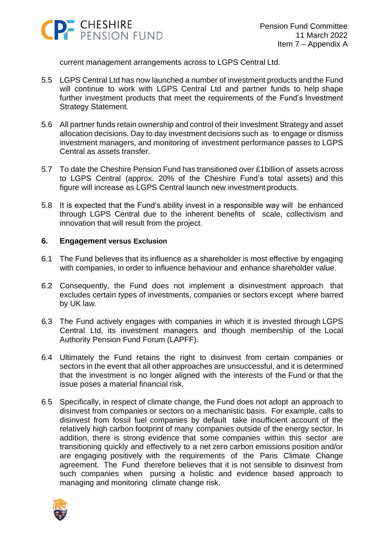

current management arrangements across to LGPS Central Ltd.

- 5.5 LGPS Central Ltd has now launched a number of investment products and the Fund will continue to work with LGPS Central Ltd and partner funds to help shape further investment products that meet the requirements of the Fund's Investment Strategy Statement.
- 5.6 All partner funds retain ownership and control of their Investment Strategy and asset allocation decisions. Day to day investment decisions such as to engage or dismiss investment managers, and monitoring of investment performance passes to LGPS Central as assets transfer.
- 5.7 To date the Cheshire Pension Fund has transitioned over £1billion of assets across to LGPS Central (approx. 20% of the Cheshire Fund's total assets) and this figure will increase as LGPS Central launch new investment products.
- 5.8 It is expected that the Fund's ability invest in a responsible way will be enhanced through LGPS Central due to the inherent benefits of scale, collectivism and innovation that will result from the project.

#### **6. Engagement versus Exclusion**

- 6.1 The Fund believes that its influence as a shareholder is most effective by engaging with companies, in order to influence behaviour and enhance shareholder value.
- 6.2 Consequently, the Fund does not implement a disinvestment approach that excludes certain types of investments, companies or sectors except where barred by UK law.
- 6.3 The Fund actively engages with companies in which it is invested through LGPS Central Ltd, its investment managers and though membership of the Local Authority Pension Fund Forum (LAPFF).
- 6.4 Ultimately the Fund retains the right to disinvest from certain companies or sectors in the event that all other approaches are unsuccessful, and it is determined that the investment is no longer aligned with the interests of the Fund or that the issue poses a material financial risk.
- 6.5 Specifically, in respect of climate change, the Fund does not adopt an approach to disinvest from companies or sectors on a mechanistic basis. For example, calls to disinvest from fossil fuel companies by default take insufficient account of the relatively high carbon footprint of many companies outside of the energy sector. In addition, there is strong evidence that some companies within this sector are transitioning quickly and effectively to a net zero carbon emissions position and/or are engaging positively with the requirements of the Paris Climate Change agreement. The Fund therefore believes that it is not sensible to disinvest from such companies when pursing a holistic and evidence based approach to managing and monitoring climate change risk.

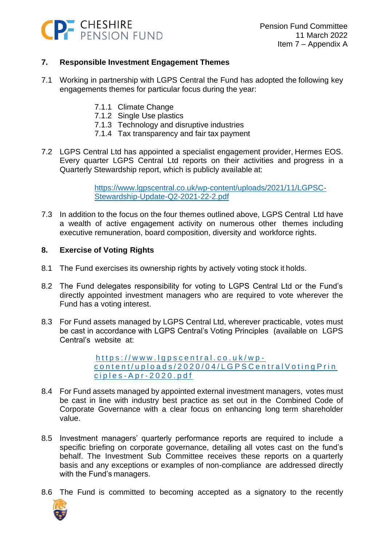

# **7. Responsible Investment Engagement Themes**

- 7.1 Working in partnership with LGPS Central the Fund has adopted the following key engagements themes for particular focus during the year:
	- 7.1.1 Climate Change
	- 7.1.2 Single Use plastics
	- 7.1.3 Technology and disruptive industries
	- 7.1.4 Tax transparency and fair tax payment
- 7.2 LGPS Central Ltd has appointed a specialist engagement provider, Hermes EOS. Every quarter LGPS Central Ltd reports on their activities and progress in a Quarterly Stewardship report, which is publicly available at:

[https://www.lgpscentral.co.uk/wp-content/uploads/2021/11/LGPSC-](https://www.lgpscentral.co.uk/wp-content/uploads/2021/11/LGPSC-Stewardship-Update-Q2-2021-22-2.pdf)[Stewardship-Update-Q2-2021-22-2.pdf](https://www.lgpscentral.co.uk/wp-content/uploads/2021/11/LGPSC-Stewardship-Update-Q2-2021-22-2.pdf)

7.3 In addition to the focus on the four themes outlined above, LGPS Central Ltd have a wealth of active engagement activity on numerous other themes including executive remuneration, board composition, diversity and workforce rights.

#### **8. Exercise of Voting Rights**

- 8.1 The Fund exercises its ownership rights by actively voting stock it holds.
- 8.2 The Fund delegates responsibility for voting to LGPS Central Ltd or the Fund's directly appointed investment managers who are required to vote wherever the Fund has a voting interest.
- 8.3 For Fund assets managed by LGPS Central Ltd, wherever practicable, votes must be cast in accordance with LGPS Central's Voting Principles (available on LGPS Central's website at:

https://www.lgpscentral.co.uk/wpcontent/uploads/2020/04/LGPSCentralVotingPrin c i p l e s - A p r - [2 0 2 0 . p d f](https://www.lgpscentral.co.uk/wp-content/uploads/2020/04/LGPSCentralVotingPrinciples-Apr-2020.pdf)

- 8.4 For Fund assets managed by appointed external investment managers, votes must be cast in line with industry best practice as set out in the Combined Code of Corporate Governance with a clear focus on enhancing long term shareholder value.
- 8.5 Investment managers' quarterly performance reports are required to include a specific briefing on corporate governance, detailing all votes cast on the fund's behalf. The Investment Sub Committee receives these reports on a quarterly basis and any exceptions or examples of non-compliance are addressed directly with the Fund's managers.
- 8.6 The Fund is committed to becoming accepted as a signatory to the recently

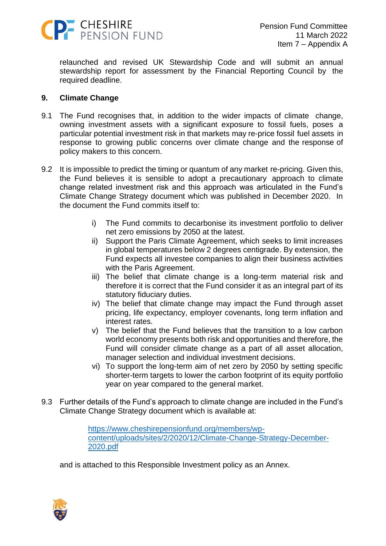

relaunched and revised UK Stewardship Code and will submit an annual stewardship report for assessment by the Financial Reporting Council by the required deadline.

#### **9. Climate Change**

- 9.1 The Fund recognises that, in addition to the wider impacts of climate change, owning investment assets with a significant exposure to fossil fuels, poses a particular potential investment risk in that markets may re-price fossil fuel assets in response to growing public concerns over climate change and the response of policy makers to this concern.
- 9.2 It is impossible to predict the timing or quantum of any market re-pricing. Given this, the Fund believes it is sensible to adopt a precautionary approach to climate change related investment risk and this approach was articulated in the Fund's Climate Change Strategy document which was published in December 2020. In the document the Fund commits itself to:
	- i) The Fund commits to decarbonise its investment portfolio to deliver net zero emissions by 2050 at the latest.
	- ii) Support the Paris Climate Agreement, which seeks to limit increases in global temperatures below 2 degrees centigrade. By extension, the Fund expects all investee companies to align their business activities with the Paris Agreement.
	- iii) The belief that climate change is a long-term material risk and therefore it is correct that the Fund consider it as an integral part of its statutory fiduciary duties.
	- iv) The belief that climate change may impact the Fund through asset pricing, life expectancy, employer covenants, long term inflation and interest rates.
	- v) The belief that the Fund believes that the transition to a low carbon world economy presents both risk and opportunities and therefore, the Fund will consider climate change as a part of all asset allocation, manager selection and individual investment decisions.
	- vi) To support the long-term aim of net zero by 2050 by setting specific shorter-term targets to lower the carbon footprint of its equity portfolio year on year compared to the general market.
- 9.3 Further details of the Fund's approach to climate change are included in the Fund's Climate Change Strategy document which is available at:

[https://www.cheshirepensionfund.org/members/wp](https://www.cheshirepensionfund.org/members/wp-content/uploads/sites/2/2020/12/Climate-Change-Strategy-December-2020.pdf)[content/uploads/sites/2/2020/12/Climate-Change-Strategy-December-](https://www.cheshirepensionfund.org/members/wp-content/uploads/sites/2/2020/12/Climate-Change-Strategy-December-2020.pdf)[2020.pdf](https://www.cheshirepensionfund.org/members/wp-content/uploads/sites/2/2020/12/Climate-Change-Strategy-December-2020.pdf)

and is attached to this Responsible Investment policy as an Annex.

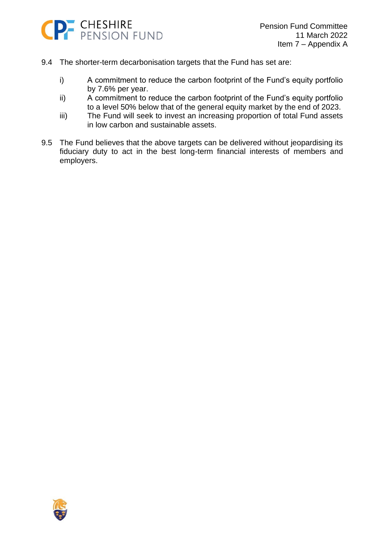

- 9.4 The shorter-term decarbonisation targets that the Fund has set are:
	- i) A commitment to reduce the carbon footprint of the Fund's equity portfolio by 7.6% per year.
	- ii) A commitment to reduce the carbon footprint of the Fund's equity portfolio to a level 50% below that of the general equity market by the end of 2023.
	- iii) The Fund will seek to invest an increasing proportion of total Fund assets in low carbon and sustainable assets.
- 9.5 The Fund believes that the above targets can be delivered without jeopardising its fiduciary duty to act in the best long-term financial interests of members and employers.

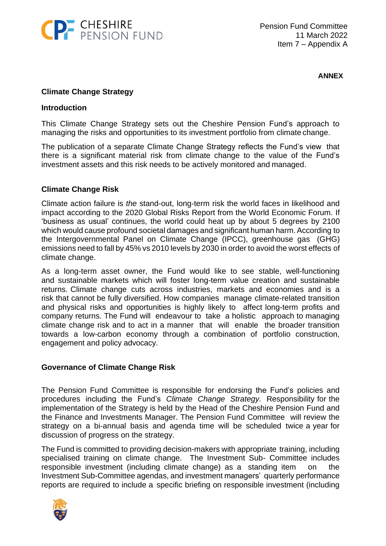

**ANNEX**

# **Climate Change Strategy**

#### **Introduction**

This Climate Change Strategy sets out the Cheshire Pension Fund's approach to managing the risks and opportunities to its investment portfolio from climate change.

The publication of a separate Climate Change Strategy reflects the Fund's view that there is a significant material risk from climate change to the value of the Fund's investment assets and this risk needs to be actively monitored and managed.

#### **Climate Change Risk**

Climate action failure is *the* stand-out, long-term risk the world faces in likelihood and impact according to the 2020 Global Risks Report from the World Economic Forum. If 'business as usual' continues, the world could heat up by about 5 degrees by 2100 which would cause profound societal damages and significant human harm. According to the Intergovernmental Panel on Climate Change (IPCC), greenhouse gas (GHG) emissions need to fall by 45% vs 2010 levels by 2030 in order to avoid the worst effects of climate change.

As a long-term asset owner, the Fund would like to see stable, well-functioning and sustainable markets which will foster long-term value creation and sustainable returns. Climate change cuts across industries, markets and economies and is a risk that cannot be fully diversified. How companies manage climate-related transition and physical risks and opportunities is highly likely to affect long-term profits and company returns. The Fund will endeavour to take a holistic approach to managing climate change risk and to act in a manner that will enable the broader transition towards a low-carbon economy through a combination of portfolio construction, engagement and policy advocacy.

#### **Governance of Climate Change Risk**

The Pension Fund Committee is responsible for endorsing the Fund's policies and procedures including the Fund's *Climate Change Strategy.* Responsibility for the implementation of the Strategy is held by the Head of the Cheshire Pension Fund and the Finance and Investments Manager. The Pension Fund Committee will review the strategy on a bi-annual basis and agenda time will be scheduled twice a year for discussion of progress on the strategy.

The Fund is committed to providing decision-makers with appropriate training, including specialised training on climate change. The Investment Sub- Committee includes responsible investment (including climate change) as a standing item on the Investment Sub-Committee agendas, and investment managers' quarterly performance reports are required to include a specific briefing on responsible investment (including

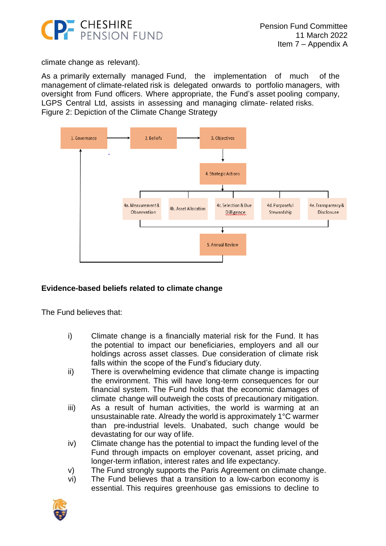

climate change as relevant).

As a primarily externally managed Fund, the implementation of much of the management of climate-related risk is delegated onwards to portfolio managers, with oversight from Fund officers. Where appropriate, the Fund's asset pooling company, LGPS Central Ltd, assists in assessing and managing climate- related risks. Figure 2: Depiction of the Climate Change Strategy



# **Evidence-based beliefs related to climate change**

The Fund believes that:

- i) Climate change is a financially material risk for the Fund. It has the potential to impact our beneficiaries, employers and all our holdings across asset classes. Due consideration of climate risk falls within the scope of the Fund's fiduciary duty.
- ii) There is overwhelming evidence that climate change is impacting the environment. This will have long-term consequences for our financial system. The Fund holds that the economic damages of climate change will outweigh the costs of precautionary mitigation.
- iii) As a result of human activities, the world is warming at an unsustainable rate. Already the world is approximately 1°C warmer than pre-industrial levels. Unabated, such change would be devastating for our way of life.
- iv) Climate change has the potential to impact the funding level of the Fund through impacts on employer covenant, asset pricing, and longer-term inflation, interest rates and life expectancy.
- v) The Fund strongly supports the Paris Agreement on climate change.
- vi) The Fund believes that a transition to a low-carbon economy is essential. This requires greenhouse gas emissions to decline to

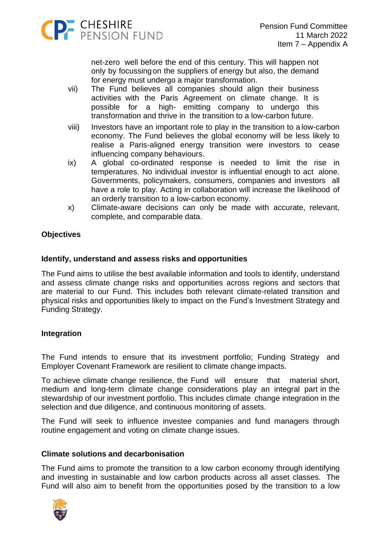

net-zero well before the end of this century. This will happen not only by focussingon the suppliers of energy but also, the demand for energy must undergo a major transformation.

- vii) The Fund believes all companies should align their business activities with the Paris Agreement on climate change. It is possible for a high- emitting company to undergo this transformation and thrive in the transition to a low-carbon future.
- viii) Investors have an important role to play in the transition to a low-carbon economy. The Fund believes the global economy will be less likely to realise a Paris-aligned energy transition were investors to cease influencing company behaviours.
- ix) A global co-ordinated response is needed to limit the rise in temperatures. No individual investor is influential enough to act alone. Governments, policymakers, consumers, companies and investors all have a role to play. Acting in collaboration will increase the likelihood of an orderly transition to a low-carbon economy.
- x) Climate-aware decisions can only be made with accurate, relevant, complete, and comparable data.

# **Objectives**

# **Identify, understand and assess risks and opportunities**

The Fund aims to utilise the best available information and tools to identify, understand and assess climate change risks and opportunities across regions and sectors that are material to our Fund. This includes both relevant climate-related transition and physical risks and opportunities likely to impact on the Fund's Investment Strategy and Funding Strategy.

#### **Integration**

The Fund intends to ensure that its investment portfolio; Funding Strategy and Employer Covenant Framework are resilient to climate change impacts.

To achieve climate change resilience, the Fund will ensure that material short, medium and long-term climate change considerations play an integral part in the stewardship of our investment portfolio. This includes climate change integration in the selection and due diligence, and continuous monitoring of assets.

The Fund will seek to influence investee companies and fund managers through routine engagement and voting on climate change issues.

#### **Climate solutions and decarbonisation**

The Fund aims to promote the transition to a low carbon economy through identifying and investing in sustainable and low carbon products across all asset classes. The Fund will also aim to benefit from the opportunities posed by the transition to a low

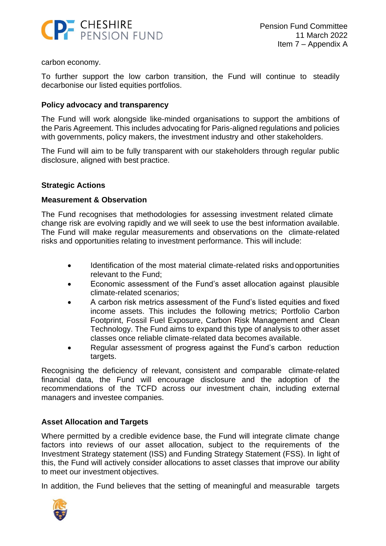

carbon economy.

To further support the low carbon transition, the Fund will continue to steadily decarbonise our listed equities portfolios.

#### **Policy advocacy and transparency**

The Fund will work alongside like-minded organisations to support the ambitions of the Paris Agreement. This includes advocating for Paris-aligned regulations and policies with governments, policy makers, the investment industry and other stakeholders.

The Fund will aim to be fully transparent with our stakeholders through regular public disclosure, aligned with best practice.

#### **Strategic Actions**

#### **Measurement & Observation**

The Fund recognises that methodologies for assessing investment related climate change risk are evolving rapidly and we will seek to use the best information available. The Fund will make regular measurements and observations on the climate-related risks and opportunities relating to investment performance. This will include:

- Identification of the most material climate-related risks andopportunities relevant to the Fund;
- Economic assessment of the Fund's asset allocation against plausible climate-related scenarios;
- A carbon risk metrics assessment of the Fund's listed equities and fixed income assets. This includes the following metrics; Portfolio Carbon Footprint, Fossil Fuel Exposure, Carbon Risk Management and Clean Technology. The Fund aims to expand this type of analysis to other asset classes once reliable climate-related data becomes available.
- Regular assessment of progress against the Fund's carbon reduction targets.

Recognising the deficiency of relevant, consistent and comparable climate-related financial data, the Fund will encourage disclosure and the adoption of the recommendations of the TCFD across our investment chain, including external managers and investee companies.

#### **Asset Allocation and Targets**

Where permitted by a credible evidence base, the Fund will integrate climate change factors into reviews of our asset allocation, subject to the requirements of the Investment Strategy statement (ISS) and Funding Strategy Statement (FSS). In light of this, the Fund will actively consider allocations to asset classes that improve our ability to meet our investment objectives.

In addition, the Fund believes that the setting of meaningful and measurable targets

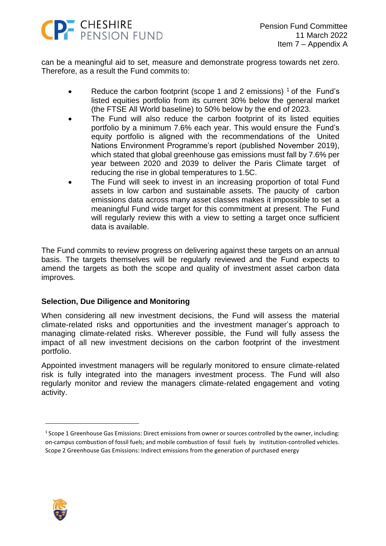

can be a meaningful aid to set, measure and demonstrate progress towards net zero. Therefore, as a result the Fund commits to:

- Reduce the carbon footprint (scope 1 and 2 emissions)  $1$  of the Fund's listed equities portfolio from its current 30% below the general market (the FTSE All World baseline) to 50% below by the end of 2023.
- The Fund will also reduce the carbon footprint of its listed equities portfolio by a minimum 7.6% each year. This would ensure the Fund's equity portfolio is aligned with the recommendations of the United Nations Environment Programme's report (published November 2019), which stated that global greenhouse gas emissions must fall by 7.6% per year between 2020 and 2039 to deliver the Paris Climate target of reducing the rise in global temperatures to 1.5C.
- The Fund will seek to invest in an increasing proportion of total Fund assets in low carbon and sustainable assets. The paucity of carbon emissions data across many asset classes makes it impossible to set a meaningful Fund wide target for this commitment at present. The Fund will regularly review this with a view to setting a target once sufficient data is available.

The Fund commits to review progress on delivering against these targets on an annual basis. The targets themselves will be regularly reviewed and the Fund expects to amend the targets as both the scope and quality of investment asset carbon data improves.

#### **Selection, Due Diligence and Monitoring**

When considering all new investment decisions, the Fund will assess the material climate-related risks and opportunities and the investment manager's approach to managing climate-related risks. Wherever possible, the Fund will fully assess the impact of all new investment decisions on the carbon footprint of the investment portfolio.

Appointed investment managers will be regularly monitored to ensure climate-related risk is fully integrated into the managers investment process. The Fund will also regularly monitor and review the managers climate-related engagement and voting activity.



 $^1$  Scope 1 Greenhouse Gas Emissions: Direct emissions from owner or sources controlled by the owner, including: on-campus combustion of fossil fuels; and mobile combustion of fossil fuels by institution-controlled vehicles. Scope 2 Greenhouse Gas Emissions: Indirect emissions from the generation of purchased energy